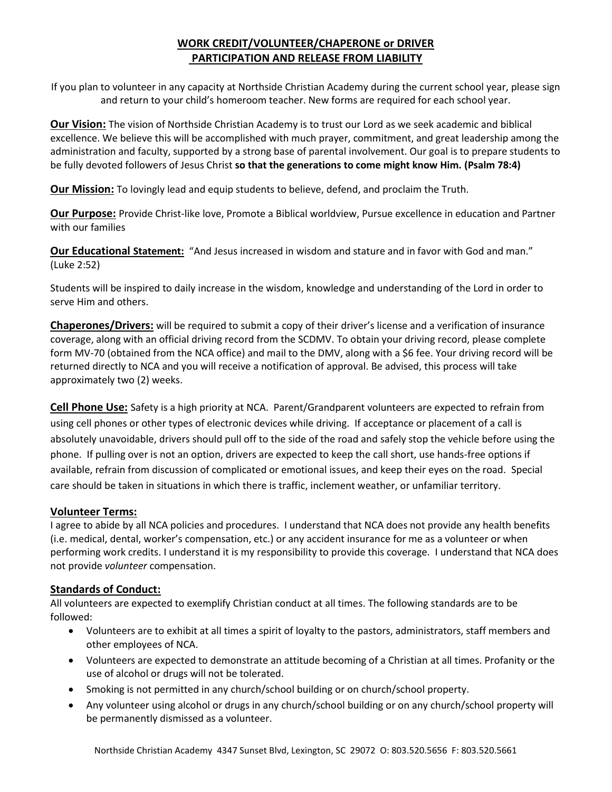# **WORK CREDIT/VOLUNTEER/CHAPERONE or DRIVER PARTICIPATION AND RELEASE FROM LIABILITY**

If you plan to volunteer in any capacity at Northside Christian Academy during the current school year, please sign and return to your child's homeroom teacher. New forms are required for each school year.

**Our Vision:** The vision of Northside Christian Academy is to trust our Lord as we seek academic and biblical excellence. We believe this will be accomplished with much prayer, commitment, and great leadership among the administration and faculty, supported by a strong base of parental involvement. Our goal is to prepare students to be fully devoted followers of Jesus Christ **so that the generations to come might know Him. (Psalm 78:4)**

**Our Mission:** To lovingly lead and equip students to believe, defend, and proclaim the Truth.

**Our Purpose:** Provide Christ-like love, Promote a Biblical worldview, Pursue excellence in education and Partner with our families

**Our Educational Statement:** "And Jesus increased in wisdom and stature and in favor with God and man." (Luke 2:52)

Students will be inspired to daily increase in the wisdom, knowledge and understanding of the Lord in order to serve Him and others.

**Chaperones/Drivers:** will be required to submit a copy of their driver's license and a verification of insurance coverage, along with an official driving record from the SCDMV. To obtain your driving record, please complete form MV-70 (obtained from the NCA office) and mail to the DMV, along with a \$6 fee. Your driving record will be returned directly to NCA and you will receive a notification of approval. Be advised, this process will take approximately two (2) weeks.

**Cell Phone Use:** Safety is a high priority at NCA. Parent/Grandparent volunteers are expected to refrain from using cell phones or other types of electronic devices while driving. If acceptance or placement of a call is absolutely unavoidable, drivers should pull off to the side of the road and safely stop the vehicle before using the phone. If pulling over is not an option, drivers are expected to keep the call short, use hands-free options if available, refrain from discussion of complicated or emotional issues, and keep their eyes on the road. Special care should be taken in situations in which there is traffic, inclement weather, or unfamiliar territory.

# **Volunteer Terms:**

I agree to abide by all NCA policies and procedures. I understand that NCA does not provide any health benefits (i.e. medical, dental, worker's compensation, etc.) or any accident insurance for me as a volunteer or when performing work credits. I understand it is my responsibility to provide this coverage. I understand that NCA does not provide *volunteer* compensation.

# **Standards of Conduct:**

All volunteers are expected to exemplify Christian conduct at all times. The following standards are to be followed:

- Volunteers are to exhibit at all times a spirit of loyalty to the pastors, administrators, staff members and other employees of NCA.
- Volunteers are expected to demonstrate an attitude becoming of a Christian at all times. Profanity or the use of alcohol or drugs will not be tolerated.
- Smoking is not permitted in any church/school building or on church/school property.
- Any volunteer using alcohol or drugs in any church/school building or on any church/school property will be permanently dismissed as a volunteer.